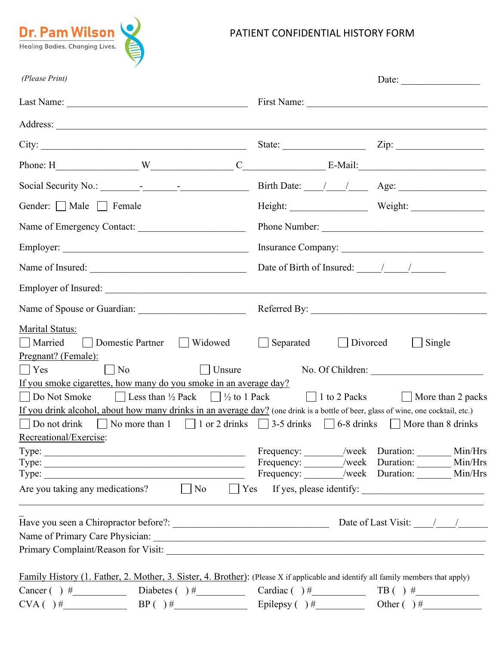

## PATIENT CONFIDENTIAL HISTORY FORM

| (Please Print)                                                                                                                                                                                                                                                                                                                                                                                                                                                                                                                                                                                                                |                                                                                         |                                                    |  |  |
|-------------------------------------------------------------------------------------------------------------------------------------------------------------------------------------------------------------------------------------------------------------------------------------------------------------------------------------------------------------------------------------------------------------------------------------------------------------------------------------------------------------------------------------------------------------------------------------------------------------------------------|-----------------------------------------------------------------------------------------|----------------------------------------------------|--|--|
|                                                                                                                                                                                                                                                                                                                                                                                                                                                                                                                                                                                                                               |                                                                                         |                                                    |  |  |
|                                                                                                                                                                                                                                                                                                                                                                                                                                                                                                                                                                                                                               |                                                                                         |                                                    |  |  |
| City:                                                                                                                                                                                                                                                                                                                                                                                                                                                                                                                                                                                                                         | State: $\qquad \qquad \qquad \text{Zip:}$                                               |                                                    |  |  |
|                                                                                                                                                                                                                                                                                                                                                                                                                                                                                                                                                                                                                               |                                                                                         |                                                    |  |  |
|                                                                                                                                                                                                                                                                                                                                                                                                                                                                                                                                                                                                                               |                                                                                         |                                                    |  |  |
| Gender: Male Female                                                                                                                                                                                                                                                                                                                                                                                                                                                                                                                                                                                                           | Height: Weight: Weight:                                                                 |                                                    |  |  |
| Name of Emergency Contact:                                                                                                                                                                                                                                                                                                                                                                                                                                                                                                                                                                                                    | Phone Number:                                                                           |                                                    |  |  |
|                                                                                                                                                                                                                                                                                                                                                                                                                                                                                                                                                                                                                               |                                                                                         |                                                    |  |  |
| Name of Insured:                                                                                                                                                                                                                                                                                                                                                                                                                                                                                                                                                                                                              | Date of Birth of Insured: $\frac{1}{\sqrt{2\pi}}$                                       |                                                    |  |  |
|                                                                                                                                                                                                                                                                                                                                                                                                                                                                                                                                                                                                                               |                                                                                         |                                                    |  |  |
|                                                                                                                                                                                                                                                                                                                                                                                                                                                                                                                                                                                                                               |                                                                                         |                                                    |  |  |
| Marital Status:<br>□ Domestic Partner □ Widowed □ Separated □ Divorced<br>  Married<br>Pregnant? (Female):<br>$\lceil$ Unsure<br>$\vert$ No<br>$ $ $ $ Yes<br>If you smoke cigarettes, how many do you smoke in an average day?<br>Do Not Smoke $\Box$ Less than $\frac{1}{2}$ Pack $\Box$ $\frac{1}{2}$ to 1 Pack $\Box$ 1 to 2 Packs $\Box$ More than 2 packs<br>If you drink alcohol, about how many drinks in an average day? (one drink is a bottle of beer, glass of wine, one cocktail, etc.)<br>Do not drink $\Box$ No more than 1 $\Box$ 1 or 2 drinks $\Box$ 3-5 drinks $\Box$ 6-8 drinks $\Box$ More than 8 drinks | No. Of Children:                                                                        | Single<br>$\perp$                                  |  |  |
| Recreational/Exercise:                                                                                                                                                                                                                                                                                                                                                                                                                                                                                                                                                                                                        |                                                                                         |                                                    |  |  |
| Type:<br>Type: $\frac{1}{\sqrt{1-\frac{1}{2}} \cdot \frac{1}{2}}$<br>Are you taking any medications? $\Box$ No $\Box$ Yes If yes, please identify: $\Box$                                                                                                                                                                                                                                                                                                                                                                                                                                                                     | Frequency: /week Duration: Min/Hrs<br>Frequency: _______/week Duration: _______ Min/Hrs | Frequency: _______/week Duration: ________ Min/Hrs |  |  |
|                                                                                                                                                                                                                                                                                                                                                                                                                                                                                                                                                                                                                               |                                                                                         |                                                    |  |  |
| Family History (1. Father, 2. Mother, 3. Sister, 4. Brother): (Please X if applicable and identify all family members that apply)                                                                                                                                                                                                                                                                                                                                                                                                                                                                                             |                                                                                         |                                                    |  |  |
| Cancer ( ) $\#$ Diabetes ( ) $\#$ Cardiac ( ) $\#$ Cardiac ( ) $\#$ TB ( ) $\#$                                                                                                                                                                                                                                                                                                                                                                                                                                                                                                                                               |                                                                                         |                                                    |  |  |
|                                                                                                                                                                                                                                                                                                                                                                                                                                                                                                                                                                                                                               |                                                                                         |                                                    |  |  |